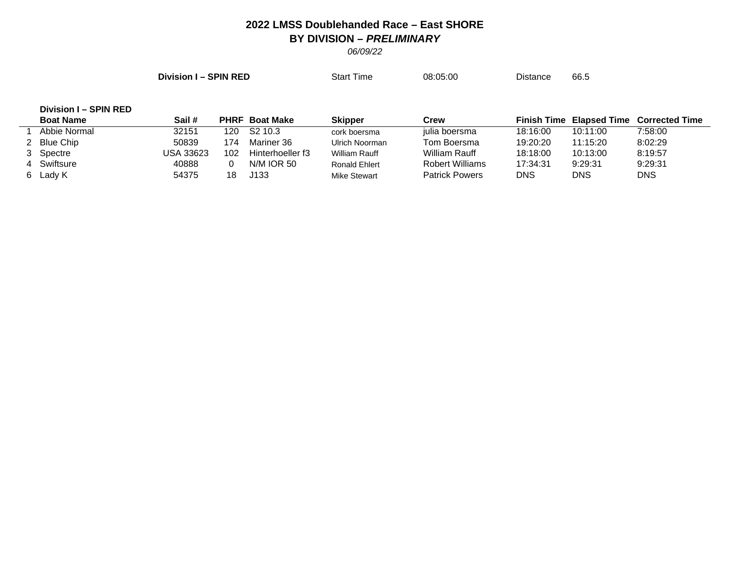## **2022 LMSS Doublehanded Race – East SHORE BY DIVISION –** *PRELIMINARY*

*06/09/22*

**Division I – SPIN RED** Start Time 08:05:00 Distance 66.5

## **Division I – SPIN RED**

| <b>Boat Name</b> | Sail #    |     | <b>PHRF</b> Boat Make | Skipper             | Crew                   |          | <b>Finish Time Elapsed Time</b> | <b>Corrected Time</b> |
|------------------|-----------|-----|-----------------------|---------------------|------------------------|----------|---------------------------------|-----------------------|
| Abbie Normal     | 32151     | 120 | S <sub>2</sub> 10.3   | cork boersma        | julia boersma          | 18:16:00 | 10:11:00                        | 7:58:00               |
| 2 Blue Chip      | 50839     | 174 | Mariner 36            | Ulrich Noorman      | Tom Boersma            | 19:20:20 | 11:15:20                        | 8:02:29               |
| 3 Spectre        | USA 33623 | 102 | Hinterhoeller f3      | William Rauff       | William Rauff          | 18:18:00 | 10:13:00                        | 8:19:57               |
| 4 Swiftsure      | 40888     |     | <b>N/M IOR 50</b>     | Ronald Ehlert       | <b>Robert Williams</b> | 17:34:31 | 9:29:31                         | 9:29:31               |
| 6 Lady K         | 54375     |     | J133                  | <b>Mike Stewart</b> | <b>Patrick Powers</b>  | DNS      | DNS                             | <b>DNS</b>            |